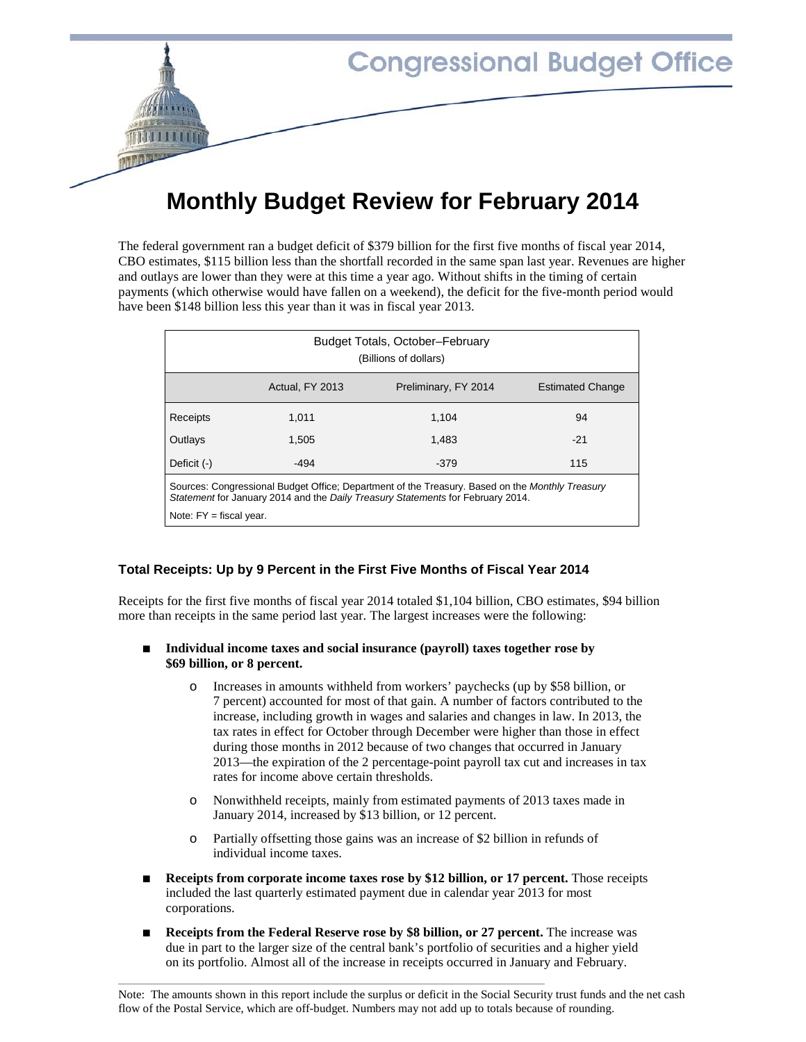

# **Monthly Budget Review for February 2014**

The federal government ran a budget deficit of \$379 billion for the first five months of fiscal year 2014, CBO estimates, \$115 billion less than the shortfall recorded in the same span last year. Revenues are higher and outlays are lower than they were at this time a year ago. Without shifts in the timing of certain payments (which otherwise would have fallen on a weekend), the deficit for the five-month period would have been \$148 billion less this year than it was in fiscal year 2013.

| Budget Totals, October-February<br>(Billions of dollars)                                                                                                                           |                 |                      |                         |  |  |
|------------------------------------------------------------------------------------------------------------------------------------------------------------------------------------|-----------------|----------------------|-------------------------|--|--|
|                                                                                                                                                                                    | Actual, FY 2013 | Preliminary, FY 2014 | <b>Estimated Change</b> |  |  |
| Receipts                                                                                                                                                                           | 1.011           | 1.104                | 94                      |  |  |
| Outlavs                                                                                                                                                                            | 1.505           | 1.483                | $-21$                   |  |  |
| Deficit $(-)$                                                                                                                                                                      | $-494$          | $-379$               | 115                     |  |  |
| Sources: Congressional Budget Office: Department of the Treasury. Based on the Monthly Treasury<br>Statement for January 2014 and the Daily Treasury Statements for February 2014. |                 |                      |                         |  |  |
| Note: $FY =$ fiscal year.                                                                                                                                                          |                 |                      |                         |  |  |

# **Total Receipts: Up by 9 Percent in the First Five Months of Fiscal Year 2014**

Receipts for the first five months of fiscal year 2014 totaled \$1,104 billion, CBO estimates, \$94 billion more than receipts in the same period last year. The largest increases were the following:

#### ■ **Individual income taxes and social insurance (payroll) taxes together rose by \$69 billion, or 8 percent.**

- o Increases in amounts withheld from workers' paychecks (up by \$58 billion, or 7 percent) accounted for most of that gain. A number of factors contributed to the increase, including growth in wages and salaries and changes in law. In 2013, the tax rates in effect for October through December were higher than those in effect during those months in 2012 because of two changes that occurred in January 2013—the expiration of the 2 percentage-point payroll tax cut and increases in tax rates for income above certain thresholds.
- o Nonwithheld receipts, mainly from estimated payments of 2013 taxes made in January 2014, increased by \$13 billion, or 12 percent.
- o Partially offsetting those gains was an increase of \$2 billion in refunds of individual income taxes.
- **Receipts from corporate income taxes rose by \$12 billion, or 17 percent.** Those receipts included the last quarterly estimated payment due in calendar year 2013 for most corporations.
- **Receipts from the Federal Reserve rose by \$8 billion, or 27 percent.** The increase was due in part to the larger size of the central bank's portfolio of securities and a higher yield on its portfolio. Almost all of the increase in receipts occurred in January and February.

Note: The amounts shown in this report include the surplus or deficit in the Social Security trust funds and the net cash flow of the Postal Service, which are off-budget. Numbers may not add up to totals because of rounding.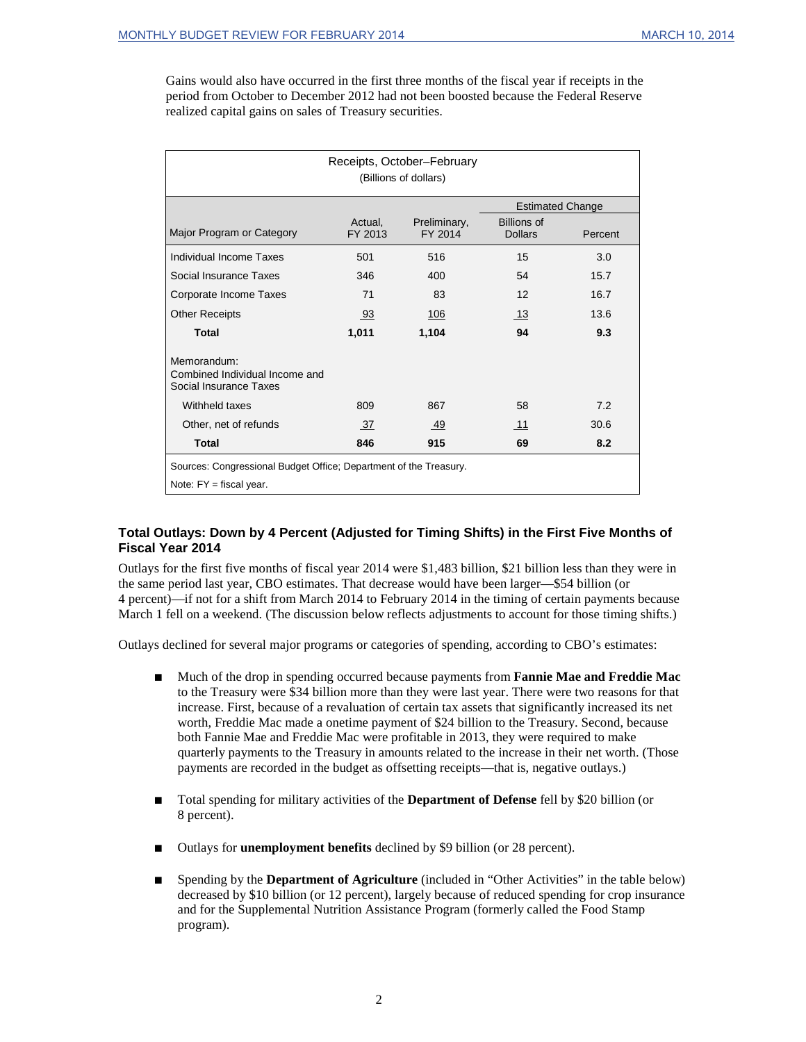Gains would also have occurred in the first three months of the fiscal year if receipts in the period from October to December 2012 had not been boosted because the Federal Reserve realized capital gains on sales of Treasury securities.

| Receipts, October-February<br>(Billions of dollars)                                            |                    |                         |                                      |         |  |
|------------------------------------------------------------------------------------------------|--------------------|-------------------------|--------------------------------------|---------|--|
|                                                                                                |                    |                         | <b>Estimated Change</b>              |         |  |
| Major Program or Category                                                                      | Actual,<br>FY 2013 | Preliminary,<br>FY 2014 | <b>Billions of</b><br><b>Dollars</b> | Percent |  |
| Individual Income Taxes                                                                        | 501                | 516                     | 15                                   | 3.0     |  |
| Social Insurance Taxes                                                                         | 346                | 400                     | 54                                   | 15.7    |  |
| Corporate Income Taxes                                                                         | 71                 | 83                      | 12                                   | 16.7    |  |
| <b>Other Receipts</b>                                                                          | 93                 | 106                     | 13                                   | 13.6    |  |
| <b>Total</b>                                                                                   | 1,011              | 1,104                   | 94                                   | 9.3     |  |
| Memorandum:<br>Combined Individual Income and<br>Social Insurance Taxes                        |                    |                         |                                      |         |  |
| Withheld taxes                                                                                 | 809                | 867                     | 58                                   | 7.2     |  |
| Other, net of refunds                                                                          | 37                 | 49                      | 11                                   | 30.6    |  |
| <b>Total</b>                                                                                   | 846                | 915                     | 69                                   | 8.2     |  |
| Sources: Congressional Budget Office; Department of the Treasury.<br>Note: $FY$ = fiscal year. |                    |                         |                                      |         |  |

#### **Total Outlays: Down by 4 Percent (Adjusted for Timing Shifts) in the First Five Months of Fiscal Year 2014**

Outlays for the first five months of fiscal year 2014 were \$1,483 billion, \$21 billion less than they were in the same period last year, CBO estimates. That decrease would have been larger—\$54 billion (or 4 percent)—if not for a shift from March 2014 to February 2014 in the timing of certain payments because March 1 fell on a weekend. (The discussion below reflects adjustments to account for those timing shifts.)

Outlays declined for several major programs or categories of spending, according to CBO's estimates:

- Much of the drop in spending occurred because payments from **Fannie Mae and Freddie Mac** to the Treasury were \$34 billion more than they were last year. There were two reasons for that increase. First, because of a revaluation of certain tax assets that significantly increased its net worth, Freddie Mac made a onetime payment of \$24 billion to the Treasury. Second, because both Fannie Mae and Freddie Mac were profitable in 2013, they were required to make quarterly payments to the Treasury in amounts related to the increase in their net worth. (Those payments are recorded in the budget as offsetting receipts—that is, negative outlays.)
- Total spending for military activities of the **Department of Defense** fell by \$20 billion (or 8 percent).
- Outlays for **unemployment benefits** declined by \$9 billion (or 28 percent).
- Spending by the **Department of Agriculture** (included in "Other Activities" in the table below) decreased by \$10 billion (or 12 percent), largely because of reduced spending for crop insurance and for the Supplemental Nutrition Assistance Program (formerly called the Food Stamp program).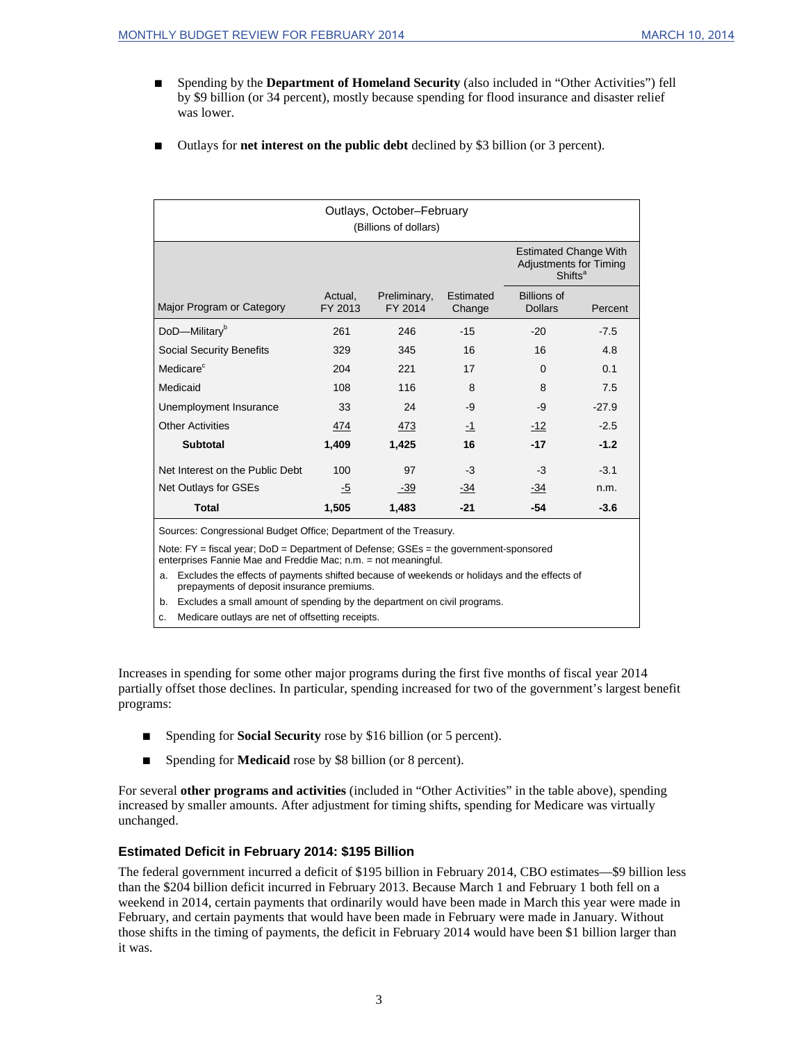- Spending by the **Department of Homeland Security** (also included in "Other Activities") fell by \$9 billion (or 34 percent), mostly because spending for flood insurance and disaster relief was lower.
- Outlays for **net interest on the public debt** declined by \$3 billion (or 3 percent).

| Outlays, October-February<br>(Billions of dollars)                                                                                                           |                    |                         |                     |                                                                                      |         |  |
|--------------------------------------------------------------------------------------------------------------------------------------------------------------|--------------------|-------------------------|---------------------|--------------------------------------------------------------------------------------|---------|--|
|                                                                                                                                                              |                    |                         |                     | <b>Estimated Change With</b><br><b>Adjustments for Timing</b><br>Shifts <sup>a</sup> |         |  |
| Major Program or Category                                                                                                                                    | Actual.<br>FY 2013 | Preliminary,<br>FY 2014 | Estimated<br>Change | <b>Billions of</b><br><b>Dollars</b>                                                 | Percent |  |
| DoD-Military <sup>b</sup>                                                                                                                                    | 261                | 246                     | $-15$               | $-20$                                                                                | $-7.5$  |  |
| <b>Social Security Benefits</b>                                                                                                                              | 329                | 345                     | 16                  | 16                                                                                   | 4.8     |  |
| Medicare <sup>c</sup>                                                                                                                                        | 204                | 221                     | 17                  | 0                                                                                    | 0.1     |  |
| Medicaid                                                                                                                                                     | 108                | 116                     | 8                   | 8                                                                                    | 7.5     |  |
| Unemployment Insurance                                                                                                                                       | 33                 | 24                      | -9                  | $-9$                                                                                 | $-27.9$ |  |
| <b>Other Activities</b>                                                                                                                                      | 474                | 473                     | $-1$                | $-12$                                                                                | $-2.5$  |  |
| <b>Subtotal</b>                                                                                                                                              | 1,409              | 1,425                   | 16                  | $-17$                                                                                | $-1.2$  |  |
| Net Interest on the Public Debt                                                                                                                              | 100                | 97                      | $-3$                | $-3$                                                                                 | $-3.1$  |  |
| Net Outlays for GSEs                                                                                                                                         | -5                 | $-39$                   | $-34$               | -34                                                                                  | n.m.    |  |
| <b>Total</b>                                                                                                                                                 | 1,505              | 1,483                   | $-21$               | $-54$                                                                                | $-3.6$  |  |
| Sources: Congressional Budget Office; Department of the Treasury.                                                                                            |                    |                         |                     |                                                                                      |         |  |
| Note: $FY =$ fiscal year; $DoD =$ Department of Defense; $GSEs =$ the government-sponsored<br>enterprises Fannie Mae and Freddie Mac; n.m. = not meaningful. |                    |                         |                     |                                                                                      |         |  |
| Excludes the effects of payments shifted because of weekends or holidays and the effects of<br>a.<br>prepayments of deposit insurance premiums.              |                    |                         |                     |                                                                                      |         |  |
| Excludes a small amount of spending by the department on civil programs.<br>b.<br>Medicare outlays are net of offsetting receipts.<br>c.                     |                    |                         |                     |                                                                                      |         |  |

Increases in spending for some other major programs during the first five months of fiscal year 2014 partially offset those declines. In particular, spending increased for two of the government's largest benefit programs:

- Spending for **Social Security** rose by \$16 billion (or 5 percent).
- Spending for **Medicaid** rose by \$8 billion (or 8 percent).

For several **other programs and activities** (included in "Other Activities" in the table above), spending increased by smaller amounts. After adjustment for timing shifts, spending for Medicare was virtually unchanged.

## **Estimated Deficit in February 2014: \$195 Billion**

The federal government incurred a deficit of \$195 billion in February 2014, CBO estimates—\$9 billion less than the \$204 billion deficit incurred in February 2013. Because March 1 and February 1 both fell on a weekend in 2014, certain payments that ordinarily would have been made in March this year were made in February, and certain payments that would have been made in February were made in January. Without those shifts in the timing of payments, the deficit in February 2014 would have been \$1 billion larger than it was.